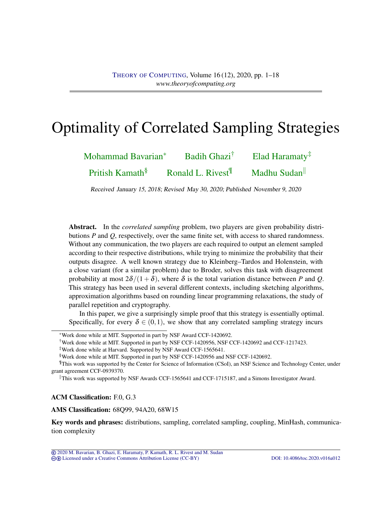# Optimality of Correlated Sampling Strategies

| Mohammad Bavarian <sup>*</sup> | Badih Ghazi <sup>†</sup>      | Elad Haramaty $*$ |
|--------------------------------|-------------------------------|-------------------|
| Pritish Kamath <sup>§</sup>    | Ronald L. Rivest <sup>¶</sup> | Madhu Sudan       |

Received January 15, 2018; Revised May 30, 2020; Published November 9, 2020

Abstract. In the *correlated sampling* problem, two players are given probability distributions *P* and *Q*, respectively, over the same finite set, with access to shared randomness. Without any communication, the two players are each required to output an element sampled according to their respective distributions, while trying to minimize the probability that their outputs disagree. A well known strategy due to Kleinberg–Tardos and Holenstein, with a close variant (for a similar problem) due to Broder, solves this task with disagreement probability at most  $2\delta/(1+\delta)$ , where  $\delta$  is the total variation distance between *P* and *Q*. This strategy has been used in several different contexts, including sketching algorithms, approximation algorithms based on rounding linear programming relaxations, the study of parallel repetition and cryptography.

In this paper, we give a surprisingly simple proof that this strategy is essentially optimal. Specifically, for every  $\delta \in (0,1)$ , we show that any correlated sampling strategy incurs

ACM Classification: F.0, G.3

AMS Classification: 68Q99, 94A20, 68W15

Key words and phrases: distributions, sampling, correlated sampling, coupling, MinHash, communication complexity

<sup>∗</sup>Work done while at MIT. Supported in part by NSF Award CCF-1420692.

<sup>†</sup>Work done while at MIT. Supported in part by NSF CCF-1420956, NSF CCF-1420692 and CCF-1217423.

<sup>‡</sup>Work done while at Harvard. Supported by NSF Award CCF-1565641.

<sup>§</sup>Work done while at MIT. Supported in part by NSF CCF-1420956 and NSF CCF-1420692.

<sup>¶</sup>This work was supported by the Center for Science of Information (CSoI), an NSF Science and Technology Center, under grant agreement CCF-0939370.

This work was supported by NSF Awards CCF-1565641 and CCF-1715187, and a Simons Investigator Award.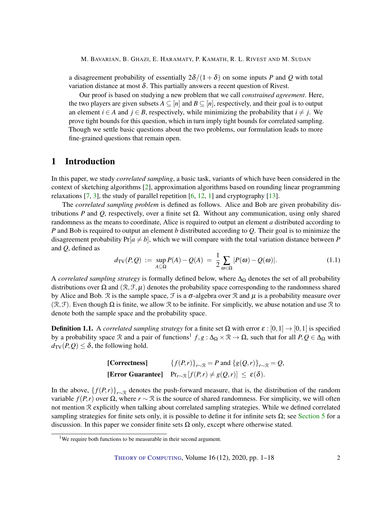<span id="page-1-1"></span>a disagreement probability of essentially  $2\delta/(1+\delta)$  on some inputs *P* and *Q* with total variation distance at most  $\delta$ . This partially answers a recent question of Rivest.

Our proof is based on studying a new problem that we call *constrained agreement*. Here, the two players are given subsets  $A \subseteq [n]$  and  $B \subseteq [n]$ , respectively, and their goal is to output an element *i* ∈ *A* and *j* ∈ *B*, respectively, while minimizing the probability that *i*  $\neq$  *j*. We prove tight bounds for this question, which in turn imply tight bounds for correlated sampling. Though we settle basic questions about the two problems, our formulation leads to more fine-grained questions that remain open.

# 1 Introduction

In this paper, we study *correlated sampling*, a basic task, variants of which have been considered in the context of sketching algorithms [\[2\]](#page-13-0), approximation algorithms based on rounding linear programming relaxations  $[7, 3]$  $[7, 3]$  $[7, 3]$ , the study of parallel repetition  $[6, 12, 1]$  $[6, 12, 1]$  $[6, 12, 1]$  $[6, 12, 1]$  $[6, 12, 1]$  and cryptography  $[13]$ .

The *correlated sampling problem* is defined as follows. Alice and Bob are given probability distributions *P* and *Q*, respectively, over a finite set Ω. Without any communication, using only shared randomness as the means to coordinate, Alice is required to output an element *a* distributed according to *P* and Bob is required to output an element *b* distributed according to *Q*. Their goal is to minimize the disagreement probability  $Pr[a \neq b]$ , which we will compare with the total variation distance between *P* and *Q*, defined as

$$
d_{\text{TV}}(P,Q) := \sup_{A \subseteq \Omega} P(A) - Q(A) = \frac{1}{2} \sum_{\omega \in \Omega} |P(\omega) - Q(\omega)|. \tag{1.1}
$$

A *correlated sampling strategy* is formally defined below, where ∆<sup>Ω</sup> denotes the set of all probability distributions over  $\Omega$  and  $(\mathcal{R}, \mathcal{F}, \mu)$  denotes the probability space corresponding to the randomness shared by Alice and Bob.  $\Re$  is the sample space,  $\Im$  is a  $\sigma$ -algebra over  $\Re$  and  $\mu$  is a probability measure over  $(\mathcal{R}, \mathcal{F})$ . Even though  $\Omega$  is finite, we allow  $\mathcal R$  to be infinite. For simplicitly, we abuse notation and use  $\mathcal R$  to denote both the sample space and the probability space.

<span id="page-1-0"></span>**Definition 1.1.** A *correlated sampling strategy* for a finite set  $\Omega$  with error  $\varepsilon$  :  $[0,1] \rightarrow [0,1]$  is specified by a probability space  $\Re$  and a pair of functions<sup>1</sup>  $f, g: \Delta_{\Omega} \times \Re \to \Omega$ , such that for all  $P, Q \in \Delta_{\Omega}$  with  $d_{TV}(P,Q) \leq \delta$ , the following hold.

| [Correctness] | ${f(P,r)}_{r\sim \mathbb{R}} = P$ and ${g(Q,r)}_{r\sim \mathbb{R}} = Q$ ,                |
|---------------|------------------------------------------------------------------------------------------|
|               | [Error Guarantee] $Pr_{r\sim\mathcal{R}}[f(P,r) \neq g(Q,r)] \leq \varepsilon(\delta)$ . |

In the above,  $\{f(P,r)\}_{r\sim\mathbb{R}}$  denotes the push-forward measure, that is, the distribution of the random variable *f*(*P*,*r*) over Ω, where *r* ∼ R is the source of shared randomness. For simplicity, we will often not mention R explicitly when talking about correlated sampling strategies. While we defined correlated sampling strategies for finite sets only, it is possible to define it for infinite sets  $\Omega$ ; see [Section 5](#page-10-0) for a discussion. In this paper we consider finite sets  $\Omega$  only, except where otherwise stated.

<sup>&</sup>lt;sup>1</sup>We require both functions to be measurable in their second argument.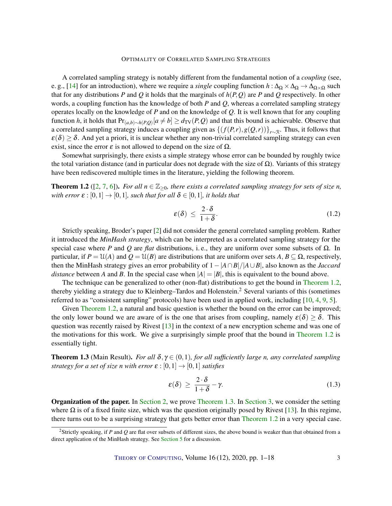<span id="page-2-2"></span>A correlated sampling strategy is notably different from the fundamental notion of a *coupling* (see, e. g., [\[14\]](#page-13-7) for an introduction), where we require a *single* coupling function  $h : \Delta_{\Omega} \times \Delta_{\Omega} \to \Delta_{\Omega \times \Omega}$  such that for any distributions *P* and *Q* it holds that the marginals of  $h(P,Q)$  are *P* and *Q* respectively. In other words, a coupling function has the knowledge of both *P* and *Q*, whereas a correlated sampling strategy operates locally on the knowledge of *P* and on the knowledge of *Q*. It is well known that for any coupling function *h*, it holds that  $Pr_{(a,b)\sim h(P,Q)}[a \neq b] \ge d_{\text{TV}}(P,Q)$  and that this bound is achievable. Observe that a correlated sampling strategy induces a coupling given as  $\{(f(P,r),g(Q,r))\}_{r\sim\mathbb{R}}$ . Thus, it follows that  $\varepsilon(\delta) \geq \delta$ . And yet a priori, it is unclear whether any non-trivial correlated sampling strategy can even exist, since the error  $\varepsilon$  is not allowed to depend on the size of  $\Omega$ .

Somewhat surprisingly, there exists a simple strategy whose error can be bounded by roughly twice the total variation distance (and in particular does not degrade with the size of  $\Omega$ ). Variants of this strategy have been rediscovered multiple times in the literature, yielding the following theorem.

<span id="page-2-0"></span>**Theorem 1.2** ([\[2,](#page-13-0) [7,](#page-13-1) [6\]](#page-13-3)). *For all*  $n \in \mathbb{Z}_{\geq 0}$ , there exists a correlated sampling strategy for sets of size *n*, *with error*  $\varepsilon$  :  $[0,1] \rightarrow [0,1]$ *, such that for all*  $\delta \in [0,1]$ *, it holds that* 

$$
\varepsilon(\delta) \le \frac{2 \cdot \delta}{1 + \delta}.\tag{1.2}
$$

Strictly speaking, Broder's paper [\[2\]](#page-13-0) did not consider the general correlated sampling problem. Rather it introduced the *MinHash strategy*, which can be interpreted as a correlated sampling strategy for the special case where *P* and *Q* are *flat* distributions, i.e., they are uniform over some subsets of  $\Omega$ . In particular, if  $P = \mathcal{U}(A)$  and  $Q = \mathcal{U}(B)$  are distributions that are uniform over sets  $A, B \subseteq \Omega$ , respectively, then the MinHash strategy gives an error probability of 1− |*A*∩*B*|/|*A*∪*B*|, also known as the *Jaccard distance* between *A* and *B*. In the special case when  $|A| = |B|$ , this is equivalent to the bound above.

The technique can be generalized to other (non-flat) distributions to get the bound in [Theorem 1.2,](#page-2-0) thereby yielding a strategy due to Kleinberg–Tardos and Holenstein.<sup>2</sup> Several variants of this (sometimes referred to as "consistent sampling" protocols) have been used in applied work, including [\[10,](#page-13-8) [4,](#page-13-9) [9,](#page-13-10) [5\]](#page-13-11).

Given [Theorem 1.2,](#page-2-0) a natural and basic question is whether the bound on the error can be improved; the only lower bound we are aware of is the one that arises from coupling, namely  $\varepsilon(\delta) > \delta$ . This question was recently raised by Rivest [\[13\]](#page-13-6) in the context of a new encryption scheme and was one of the motivations for this work. We give a surprisingly simple proof that the bound in [Theorem 1.2](#page-2-0) is essentially tight.

<span id="page-2-1"></span>**Theorem 1.3** (Main Result). *For all*  $\delta, \gamma \in (0,1)$ *, for all sufficiently large n, any correlated sampling strategy for a set of size n with error*  $\varepsilon$  :  $[0,1] \rightarrow [0,1]$  *satisfies* 

$$
\varepsilon(\delta) \ge \frac{2 \cdot \delta}{1 + \delta} - \gamma. \tag{1.3}
$$

Organization of the paper. In [Section 2,](#page-3-0) we prove [Theorem 1.3.](#page-2-1) In [Section 3,](#page-6-0) we consider the setting where  $\Omega$  is of a fixed finite size, which was the question originally posed by Rivest [\[13\]](#page-13-6). In this regime, there turns out to be a surprising strategy that gets better error than [Theorem 1.2](#page-2-0) in a very special case.

<sup>2</sup>Strictly speaking, if *P* and *Q* are flat over subsets of different sizes, the above bound is weaker than that obtained from a direct application of the MinHash strategy. See [Section 5](#page-10-0) for a discussion.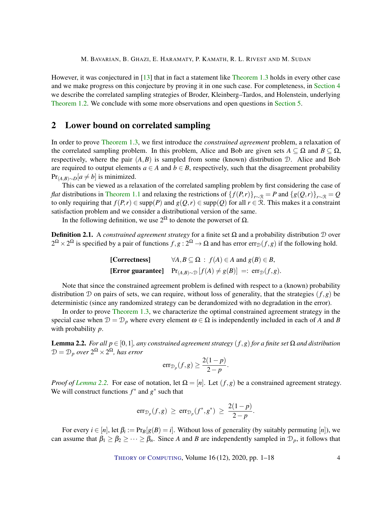<span id="page-3-2"></span>However, it was conjectured in [\[13\]](#page-13-6) that in fact a statement like [Theorem 1.3](#page-2-1) holds in every other case and we make progress on this conjecture by proving it in one such case. For completeness, in [Section 4](#page-9-0) we describe the correlated sampling strategies of Broder, Kleinberg–Tardos, and Holenstein, underlying [Theorem 1.2.](#page-2-0) We conclude with some more observations and open questions in [Section 5.](#page-10-0)

# <span id="page-3-0"></span>2 Lower bound on correlated sampling

In order to prove [Theorem 1.3,](#page-2-1) we first introduce the *constrained agreement* problem, a relaxation of the correlated sampling problem. In this problem, Alice and Bob are given sets  $A \subseteq \Omega$  and  $B \subseteq \Omega$ , respectively, where the pair  $(A, B)$  is sampled from some (known) distribution D. Alice and Bob are required to output elements  $a \in A$  and  $b \in B$ , respectively, such that the disagreement probability  $Pr_{(A,B) \sim D}[a \neq b]$  is minimized.

This can be viewed as a relaxation of the correlated sampling problem by first considering the case of *flat* distributions in [Theorem 1.1](#page-1-0) and relaxing the restrictions of  ${f(P,r)}_{r\sim R} = P$  and  ${g(Q,r)}_{r\sim R} = Q$ to only requiring that  $f(P,r) \in \text{supp}(P)$  and  $g(Q,r) \in \text{supp}(Q)$  for all  $r \in \mathcal{R}$ . This makes it a constraint satisfaction problem and we consider a distributional version of the same.

In the following definition, we use  $2^{\Omega}$  to denote the powerset of  $\Omega$ .

Definition 2.1. A *constrained agreement strategy* for a finite set Ω and a probability distribution D over  $2^{\Omega} \times 2^{\Omega}$  is specified by a pair of functions  $f, g: 2^{\Omega} \to \Omega$  and has error  $err_{\mathcal{D}}(f,g)$  if the following hold.

| [Correctness] | $\forall A, B \subseteq \Omega : f(A) \in A$ and $g(B) \in B$ ,                                  |
|---------------|--------------------------------------------------------------------------------------------------|
|               | <b>[Error guarantee]</b> $Pr_{(A,B)\sim \mathcal{D}}[f(A) \neq g(B)] =: err_{\mathcal{D}}(f,g).$ |

Note that since the constrained agreement problem is defined with respect to a (known) probability distribution D on pairs of sets, we can require, without loss of generality, that the strategies  $(f, g)$  be deterministic (since any randomized strategy can be derandomized with no degradation in the error).

In order to prove [Theorem 1.3,](#page-2-1) we characterize the optimal constrained agreement strategy in the special case when  $\mathcal{D} = \mathcal{D}_p$  where every element  $\omega \in \Omega$  is independently included in each of *A* and *B* with probability *p*.

<span id="page-3-1"></span>Lemma 2.2. *For all p* ∈ [0,1]*, any constrained agreement strategy* (*f*,*g*) *for a finite set* Ω *and distribution*  $\mathcal{D} = \mathcal{D}_p$  over  $2^\Omega \times 2^\Omega$ , has error

$$
err_{\mathcal{D}_p}(f,g) \ge \frac{2(1-p)}{2-p}.
$$

*Proof of [Lemma](#page-3-1) [2.2.](#page-3-1)* For ease of notation, let  $\Omega = [n]$ . Let  $(f, g)$  be a constrained agreement strategy. We will construct functions  $f^*$  and  $g^*$  such that

$$
\mathrm{err}_{\mathcal{D}_p}(f,g) \geq \mathrm{err}_{\mathcal{D}_p}(f^*,g^*) \geq \frac{2(1-p)}{2-p}.
$$

For every  $i \in [n]$ , let  $\beta_i := \Pr_B[g(B) = i]$ . Without loss of generality (by suitably permuting  $[n]$ ), we can assume that  $\beta_1 \geq \beta_2 \geq \cdots \geq \beta_n$ . Since *A* and *B* are independently sampled in  $\mathcal{D}_p$ , it follows that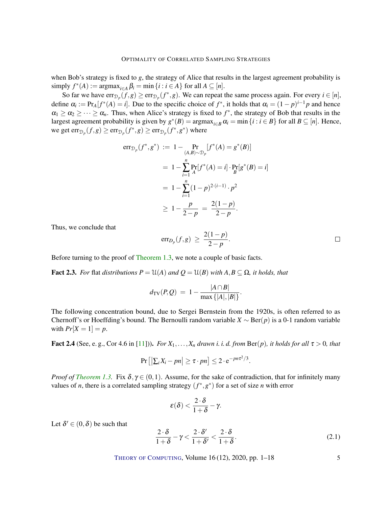<span id="page-4-3"></span>when Bob's strategy is fixed to *g*, the strategy of Alice that results in the largest agreement probability is simply  $f^*(A) := \text{argmax}_{i \in A} \beta_i = \min \{i : i \in A\}$  for all  $A \subseteq [n]$ .

So far we have  $\text{err}_{\mathcal{D}_p}(f,g) \ge \text{err}_{\mathcal{D}_p}(f^*,g)$ . We can repeat the same process again. For every  $i \in [n]$ , define  $\alpha_i := \Pr_A[f^*(A) = i]$ . Due to the specific choice of  $f^*$ , it holds that  $\alpha_i = (1 - p)^{i-1}p$  and hence  $\alpha_1 \geq \alpha_2 \geq \cdots \geq \alpha_n$ . Thus, when Alice's strategy is fixed to  $f^*$ , the strategy of Bob that results in the largest agreement probability is given by  $g^*(B) = \text{argmax}_{i \in B} \alpha_i = \min \{i : i \in B\}$  for all  $B \subseteq [n]$ . Hence, we get  $\mathrm{err}_{\mathcal{D}_p}(f,g) \ge \mathrm{err}_{\mathcal{D}_p}(f^*,g) \ge \mathrm{err}_{\mathcal{D}_p}(f^*,g^*)$  where

$$
err_{\mathcal{D}_p}(f^*, g^*) := 1 - \Pr_{(A,B)\sim\mathcal{D}_p}[f^*(A) = g^*(B)]
$$
  
=  $1 - \sum_{i=1}^n \Pr_{A}[f^*(A) = i] \cdot \Pr_{B}[g^*(B) = i]$   
=  $1 - \sum_{i=1}^n (1 - p)^{2 \cdot (i-1)} \cdot p^2$   
 $\geq 1 - \frac{p}{2 - p} = \frac{2(1 - p)}{2 - p}.$ 

Thus, we conclude that

$$
\mathrm{err}_{D_p}(f,g) \, \geq \, \frac{2(1-p)}{2-p}.
$$

Before turning to the proof of [Theorem 1.3,](#page-2-1) we note a couple of basic facts.

<span id="page-4-2"></span>**Fact 2.3.** *For* flat *distributions*  $P = \mathcal{U}(A)$  *and*  $Q = \mathcal{U}(B)$  *with*  $A, B \subseteq \Omega$ *, it holds, that* 

$$
d_{\text{TV}}(P,Q) \ = \ 1 - \frac{|A \cap B|}{\max\{|A|,|B|\}}.
$$

The following concentration bound, due to Sergei Bernstein from the 1920s, is often referred to as Chernoff's or Hoeffding's bound. The Bernoulli random variable  $X \sim \text{Ber}(p)$  is a 0-1 random variable with  $Pr[X = 1] = p$ .

<span id="page-4-0"></span>Fact 2.4 (See, e.g., Cor 4.6 in [\[11\]](#page-13-12))). *For*  $X_1, \ldots, X_n$  *drawn i. i. d. from*  $\text{Ber}(p)$ *, it holds for all*  $\tau > 0$ *, that* 

$$
Pr\left[\left|\sum_{i}X_{i}-pn\right|\geq \tau \cdot pn\right]\leq 2\cdot e^{-pn\tau^{2}/3}.
$$

*Proof of [Theorem 1.3.](#page-2-1)* Fix  $\delta, \gamma \in (0,1)$ . Assume, for the sake of contradiction, that for infinitely many values of *n*, there is a correlated sampling strategy  $(f^*, g^*)$  for a set of size *n* with error

$$
\varepsilon(\delta)<\frac{2\cdot\delta}{1+\delta}-\gamma.
$$

Let  $\delta' \in (0, \delta)$  be such that

<span id="page-4-1"></span>
$$
\frac{2 \cdot \delta}{1+\delta} - \gamma < \frac{2 \cdot \delta'}{1+\delta'} < \frac{2 \cdot \delta}{1+\delta}.\tag{2.1}
$$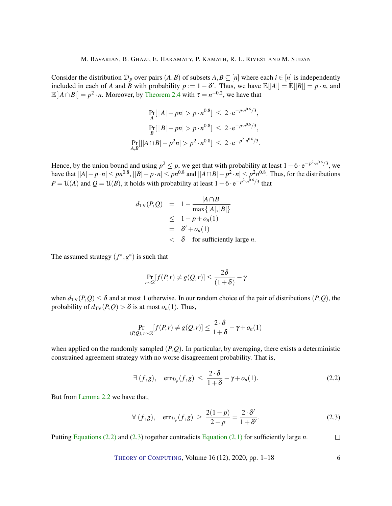Consider the distribution  $\mathcal{D}_p$  over pairs  $(A, B)$  of subsets  $A, B \subseteq [n]$  where each  $i \in [n]$  is independently included in each of *A* and *B* with probability  $p := 1 - \delta'$ . Thus, we have  $\mathbb{E}[|A|] = \mathbb{E}[|B|] = p \cdot n$ , and  $\mathbb{E}[|A \cap B|] = p^2 \cdot n$ . Moreover, by [Theorem 2.4](#page-4-0) with  $\tau = n^{-0.2}$ , we have that

$$
Pr_{A}[||A| - pn| > p \cdot n^{0.8}] \le 2 \cdot e^{-p \cdot n^{0.6}/3},
$$
  
\n
$$
Pr_{B}[||B| - pn| > p \cdot n^{0.8}] \le 2 \cdot e^{-p \cdot n^{0.6}/3},
$$
  
\n
$$
Pr_{A,B}[||A \cap B| - p^2 n| > p^2 \cdot n^{0.8}] \le 2 \cdot e^{-p^2 \cdot n^{0.6}/3}.
$$

Hence, by the union bound and using  $p^2 \leq p$ , we get that with probability at least  $1 - 6 \cdot e^{-p^2 \cdot n^{0.6}/3}$ , we have that  $||A|-p \cdot n| \leq pn^{0.8}$ ,  $||B|-p \cdot n| \leq pn^{0.8}$  and  $||A \cap B|-p^2 \cdot n| \leq p^2n^{0.8}$ . Thus, for the distributions  $P = U(A)$  and  $Q = U(B)$ , it holds with probability at least  $1 - 6 \cdot e^{-p^2 \cdot n^{0.6}/3}$  that

$$
d_{\text{TV}}(P,Q) = 1 - \frac{|A \cap B|}{\max\{|A|, |B|\}}
$$
  
\n
$$
\leq 1 - p + o_n(1)
$$
  
\n
$$
= \delta' + o_n(1)
$$
  
\n
$$
< \delta \text{ for sufficiently large } n.
$$

The assumed strategy  $(f^*, g^*)$  is such that

$$
\Pr_{r\sim\mathcal{R}}[f(P,r)\neq g(Q,r)]\leq \frac{2\delta}{(1+\delta)}-\gamma
$$

when  $d_{TV}(P,Q) \leq \delta$  and at most 1 otherwise. In our random choice of the pair of distributions  $(P,Q)$ , the probability of  $d_{TV}(P,Q) > \delta$  is at most  $o_n(1)$ . Thus,

$$
\Pr_{(P,Q),r\sim\mathcal{R}}[f(P,r)\neq g(Q,r)] \leq \frac{2\cdot\delta}{1+\delta} - \gamma + o_n(1)
$$

when applied on the randomly sampled  $(P, Q)$ . In particular, by averaging, there exists a deterministic constrained agreement strategy with no worse disagreement probability. That is,

<span id="page-5-0"></span>
$$
\exists (f,g), \quad \operatorname{err}_{\mathcal{D}_p}(f,g) \leq \frac{2 \cdot \delta}{1+\delta} - \gamma + o_n(1). \tag{2.2}
$$

But from [Lemma](#page-3-1) [2.2](#page-3-1) we have that,

<span id="page-5-1"></span>
$$
\forall (f,g), \quad \text{err}_{\mathcal{D}_p}(f,g) \ge \frac{2(1-p)}{2-p} = \frac{2 \cdot \delta'}{1+\delta'}.
$$
 (2.3)

Putting [Equations \(2.2\)](#page-5-0) and [\(2.3\)](#page-5-1) together contradicts [Equation \(2.1\)](#page-4-1) for sufficiently large *n*.  $\Box$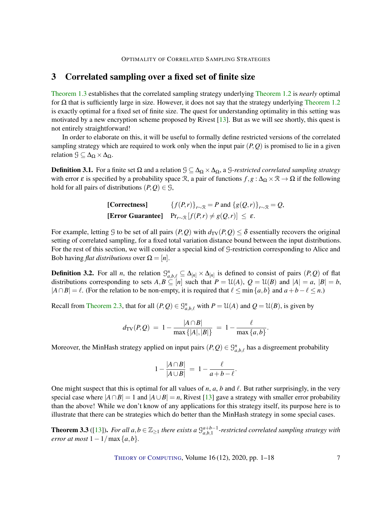# <span id="page-6-2"></span><span id="page-6-0"></span>3 Correlated sampling over a fixed set of finite size

[Theorem 1.3](#page-2-1) establishes that the correlated sampling strategy underlying [Theorem 1.2](#page-2-0) is *nearly* optimal for  $\Omega$  that is sufficiently large in size. However, it does not say that the strategy underlying [Theorem 1.2](#page-2-0) is exactly optimal for a fixed set of finite size. The quest for understanding optimality in this setting was motivated by a new encryption scheme proposed by Rivest [\[13\]](#page-13-6). But as we will see shortly, this quest is not entirely straightforward!

In order to elaborate on this, it will be useful to formally define restricted versions of the correlated sampling strategy which are required to work only when the input pair  $(P, Q)$  is promised to lie in a given relation  $\mathcal{G} \subseteq \Delta_{\Omega} \times \Delta_{\Omega}$ .

**Definition 3.1.** For a finite set Ω and a relation  $\mathcal{G} \subseteq \Delta_{\Omega} \times \Delta_{\Omega}$ , a *G-restricted correlated sampling strategy* with error  $\varepsilon$  is specified by a probability space R, a pair of functions  $f, g : \Delta_{\Omega} \times \mathbb{R} \to \Omega$  if the following hold for all pairs of distributions  $(P, Q) \in \mathcal{G}$ ,

[Corrections] 
$$
\{f(P,r)\}_{r\sim\mathcal{R}} = P \text{ and } \{g(Q,r)\}_{r\sim\mathcal{R}} = Q,
$$
  
[Error Guarantee] 
$$
\Pr_{r\sim\mathcal{R}}[f(P,r) \neq g(Q,r)] \leq \varepsilon.
$$

For example, letting G to be set of all pairs  $(P,Q)$  with  $d_{TV}(P,Q) \leq \delta$  essentially recovers the original setting of correlated sampling, for a fixed total variation distance bound between the input distributions. For the rest of this section, we will consider a special kind of G-restriction corresponding to Alice and Bob having *flat distributions* over  $\Omega = [n]$ .

**Definition 3.2.** For all *n*, the relation  $\mathcal{G}_{a,b,\ell}^n \subseteq \Delta_{[n]} \times \Delta_{[n]}$  is defined to consist of pairs  $(P,Q)$  of flat distributions corresponding to sets  $A, B \subseteq [n]$  such that  $P = \mathcal{U}(A), Q = \mathcal{U}(B)$  and  $|A| = a, |B| = b$ ,  $|A \cap B| = \ell$ . (For the relation to be non-empty, it is required that  $\ell \leq \min\{a, b\}$  and  $a + b - \ell \leq n$ .)

Recall from [Theorem 2.3,](#page-4-2) that for all  $(P,Q) \in \mathcal{G}_{a,b,\ell}^n$  with  $P = \mathcal{U}(A)$  and  $Q = \mathcal{U}(B)$ , is given by

$$
d_{\mathrm{TV}}(P,Q) = 1 - \frac{|A \cap B|}{\max\{|A|, |B|\}} = 1 - \frac{\ell}{\max\{a,b\}}.
$$

Moreover, the MinHash strategy applied on input pairs  $(P,Q) \in \mathcal{G}^n_{a,b,\ell}$  has a disgreement probability

$$
1 - \frac{|A \cap B|}{|A \cup B|} = 1 - \frac{\ell}{a+b-\ell}.
$$

One might suspect that this is optimal for all values of  $n$ ,  $a$ ,  $b$  and  $\ell$ . But rather surprisingly, in the very special case where  $|A \cap B| = 1$  and  $|A \cup B| = n$ , Rivest [\[13\]](#page-13-6) gave a strategy with smaller error probability than the above! While we don't know of any applications for this strategy itself, its purpose here is to illustrate that there can be strategies which do better than the MinHash strategy in some special cases.

<span id="page-6-1"></span>**Theorem 3.3** ([\[13\]](#page-13-6)). For all  $a, b \in \mathbb{Z}_{\geq 1}$  there exists a  $\mathcal{G}_{a,b,1}^{a+b-1}$ -restricted correlated sampling strategy with *error at most*  $1 - 1/\max\{a, b\}$ *.*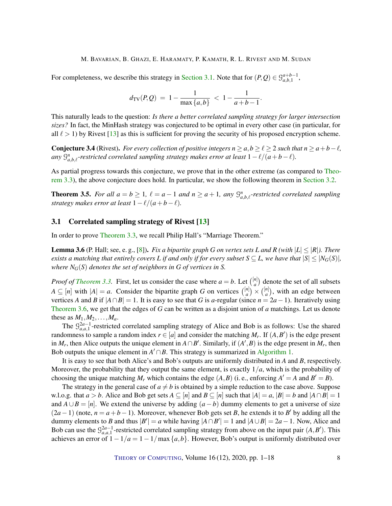<span id="page-7-4"></span>For completeness, we describe this strategy in [Section 3.1.](#page-7-0) Note that for  $(P,Q) \in \mathcal{G}_{a,b,1}^{a+b-1}$ ,

$$
d_{\mathrm{TV}}(P,Q) = 1 - \frac{1}{\max\{a,b\}} < 1 - \frac{1}{a+b-1}.
$$

This naturally leads to the question: *Is there a better correlated sampling strategy for larger intersection sizes?* In fact, the MinHash strategy was conjectured to be optimal in every other case (in particular, for all  $\ell > 1$ ) by Rivest [\[13\]](#page-13-6) as this is sufficient for proving the security of his proposed encryption scheme.

<span id="page-7-3"></span>**Conjecture 3.4** (Rivest). *For every collection of positive integers*  $n \ge a, b \ge \ell \ge 2$  *such that*  $n \ge a+b-\ell$ , any  $\mathcal{G}_{a,b,\ell}^n$ -restricted correlated sampling strategy makes error at least  $1-\ell/(a+b-\ell)$ .

As partial progress towards this conjecture, we prove that in the other extreme (as compared to [Theo](#page-6-1)[rem 3.3\)](#page-6-1), the above conjecture does hold. In particular, we show the following theorem in [Section 3.2.](#page-8-0)

<span id="page-7-2"></span>**Theorem 3.5.** For all  $a = b \ge 1$ ,  $\ell = a - 1$  and  $n \ge a + 1$ , any  $\mathcal{G}_{a,b,\ell}^n$ -restricted correlated sampling *strategy makes error at least*  $1 - \ell/(a+b-\ell)$ .

## <span id="page-7-0"></span>3.1 Correlated sampling strategy of Rivest [\[13\]](#page-13-6)

In order to prove [Theorem 3.3,](#page-6-1) we recall Philip Hall's "Marriage Theorem."

<span id="page-7-1"></span>**Lemma 3.6** (P. Hall; see, e.g., [\[8\]](#page-13-13)). *Fix a bipartite graph G on vertex sets L* and *R* (with  $|L| \leq |R|$ ). There *exists a matching that entirely covers L if and only if for every subset*  $S \subseteq L$ *, we have that*  $|S| \leq |N_G(S)|$ *, where*  $N_G(S)$  *denotes the set of neighbors in G of vertices in S.* 

*Proof of [Theorem 3.3.](#page-6-1)* First, let us consider the case where  $a = b$ . Let  $\binom{[n]}{a}$  $\binom{n}{a}$  denote the set of all subsets  $A \subseteq [n]$  with  $|A| = a$ . Consider the bipartite graph *G* on vertices  $\binom{[n]}{a}$  $\binom{n}{a}$   $\times$   $\binom{[n]}{a}$  $\binom{n}{a}$ , with an edge between vertices *A* and *B* if  $|A \cap B| = 1$ . It is easy to see that *G* is *a*-regular (since  $n = 2a - 1$ ). Iteratively using [Theorem 3.6,](#page-7-1) we get that the edges of *G* can be written as a disjoint union of *a* matchings. Let us denote these as  $M_1, M_2, \ldots, M_a$ .

The  $\mathcal{G}_{a,a,1}^{2a-1}$ -restricted correlated sampling strategy of Alice and Bob is as follows: Use the shared randomness to sample a random index  $r \in [a]$  and consider the matching  $M_r$ . If  $(A, B')$  is the edge present in  $M_r$ , then Alice outputs the unique element in  $A \cap B'$ . Similarly, if  $(A', B)$  is the edge present in  $M_r$ , then Bob outputs the unique element in  $A' \cap B$ . This strategy is summarized in [Algorithm 1.](#page-8-1)

It is easy to see that both Alice's and Bob's outputs are uniformly distributed in *A* and *B*, respectively. Moreover, the probability that they output the same element, is exactly 1/*a*, which is the probability of choosing the unique matching  $M_r$  which contains the edge  $(A, B)$  (i.e., enforcing  $A' = A$  and  $B' = B$ ).

The strategy in the general case of  $a \neq b$  is obtained by a simple reduction to the case above. Suppose w.l.o.g. that  $a > b$ . Alice and Bob get sets  $A \subseteq [n]$  and  $B \subseteq [n]$  such that  $|A| = a$ ,  $|B| = b$  and  $|A \cap B| = 1$ and  $A \cup B = [n]$ . We extend the universe by adding  $(a - b)$  dummy elements to get a universe of size  $(2a-1)$  (note,  $n = a+b-1$ ). Moreover, whenever Bob gets set *B*, he extends it to *B*<sup>'</sup> by adding all the dummy elements to *B* and thus  $|B'| = a$  while having  $|A \cap B'| = 1$  and  $|A \cup B| = 2a - 1$ . Now, Alice and Bob can use the  $\mathcal{G}_{a,a,1}^{2a-1}$ -restricted correlated sampling strategy from above on the input pair  $(A, B')$ . This achieves an error of 1−1/*a* = 1−1/max{*a*,*b*}. However, Bob's output is uniformly distributed over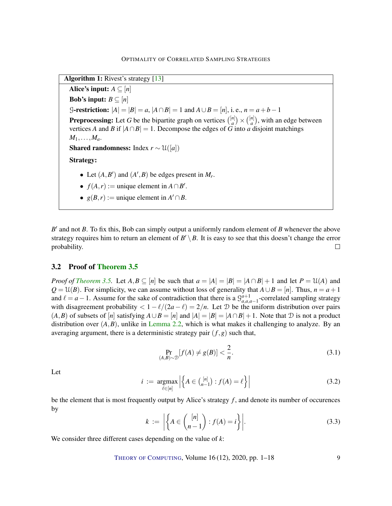<span id="page-8-3"></span>Algorithm 1: Rivest's strategy [\[13\]](#page-13-6)

Alice's input:  $A \subseteq [n]$ Bob's input:  $B \subseteq [n]$ G-restriction:  $|A| = |B| = a$ ,  $|A \cap B| = 1$  and  $A \cup B = [n]$ , i. e.,  $n = a + b - 1$ **Preprocessing:** Let G be the bipartite graph on vertices  $\binom{[n]}{a}$  $\binom{n}{a}$   $\times$   $\binom{[n]}{a}$  $\binom{n}{a}$ , with an edge between vertices *A* and *B* if  $|A \cap B| = 1$ . Decompose the edges of *G* into *a* disjoint matchings  $M_1, \ldots, M_a$ . **Shared randomness:** Index  $r \sim \mathcal{U}([a])$ Strategy: • Let  $(A, B')$  and  $(A', B)$  be edges present in  $M_r$ . •  $f(A,r) :=$  unique element in  $A \cap B'$ .

<span id="page-8-1"></span>•  $g(B,r) :=$  unique element in  $A' \cap B$ .

 $B'$  and not  $B$ . To fix this, Bob can simply output a uniformly random element of  $B$  whenever the above strategy requires him to return an element of  $B' \setminus B$ . It is easy to see that this doesn't change the error probability.  $\Box$ 

## <span id="page-8-0"></span>3.2 Proof of [Theorem 3.5](#page-7-2)

*Proof of [Theorem 3.5.](#page-7-2)* Let  $A, B \subseteq [n]$  be such that  $a = |A| = |B| = |A \cap B| + 1$  and let  $P = \mathcal{U}(A)$  and  $Q = U(B)$ . For simplicity, we can assume without loss of generality that  $A \cup B = [n]$ . Thus,  $n = a + 1$ and  $\ell = a - 1$ . Assume for the sake of contradiction that there is a  $\mathcal{G}_{a,a,a-1}^{a+1}$ -correlated sampling strategy with disagreement probability  $\langle 1 - \ell/(2a - \ell) \rangle = 2/n$ . Let D be the uniform distribution over pairs  $(A, B)$  of subsets of  $[n]$  satisfying  $A \cup B = [n]$  and  $|A| = |B| = |A \cap B| + 1$ . Note that  $D$  is not a product distribution over  $(A, B)$ , unlike in [Lemma](#page-3-1) [2.2,](#page-3-1) which is what makes it challenging to analyze. By an averaging argument, there is a deterministic strategy pair  $(f, g)$  such that,

<span id="page-8-2"></span>
$$
\Pr_{(A,B)\sim\mathcal{D}}[f(A)\neq g(B)] < \frac{2}{n}.\tag{3.1}
$$

Let

$$
i := \underset{\ell \in [n]}{\text{argmax}} \left| \left\{ A \in \binom{[n]}{n-1} : f(A) = \ell \right\} \right| \tag{3.2}
$$

be the element that is most frequently output by Alice's strategy *f* , and denote its number of occurences by

$$
k := \left| \left\{ A \in \binom{[n]}{n-1} : f(A) = i \right\} \right|.
$$
 (3.3)

We consider three different cases depending on the value of *k*:

THEORY OF C[OMPUTING](http://dx.doi.org/10.4086/toc), Volume  $16(12)$ , 2020, pp.  $1-18$  9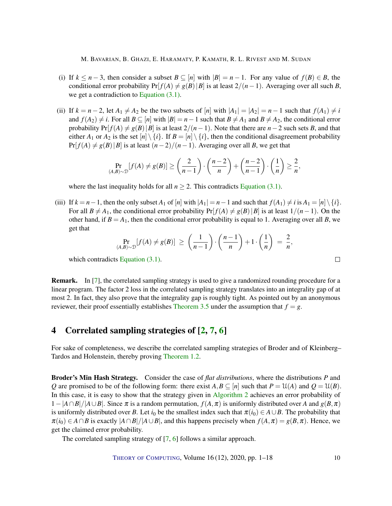- <span id="page-9-1"></span>(i) If  $k \leq n-3$ , then consider a subset  $B \subseteq [n]$  with  $|B| = n-1$ . For any value of  $f(B) \in B$ , the conditional error probability  $Pr[f(A) \neq g(B) | B]$  is at least  $2/(n-1)$ . Averaging over all such *B*, we get a contradiction to [Equation \(3.1\).](#page-8-2)
- (ii) If  $k = n 2$ , let  $A_1 \neq A_2$  be the two subsets of  $[n]$  with  $|A_1| = |A_2| = n 1$  such that  $f(A_1) \neq i$ and  $f(A_2) \neq i$ . For all  $B \subseteq [n]$  with  $|B| = n - 1$  such that  $B \neq A_1$  and  $B \neq A_2$ , the conditional error probability  $Pr[f(A) \neq g(B) | B]$  is at least  $2/(n-1)$ . Note that there are *n* − 2 such sets *B*, and that either *A*<sub>1</sub> or *A*<sub>2</sub> is the set  $[n] \setminus \{i\}$ . If  $B = [n] \setminus \{i\}$ , then the conditional disagreement probability  $Pr[f(A) \neq g(B) | B]$  is at least  $(n-2)/(n-1)$ . Averaging over all *B*, we get that

$$
\Pr_{(A,B)\sim \mathcal{D}}[f(A) \neq g(B)] \geq \left(\frac{2}{n-1}\right) \cdot \left(\frac{n-2}{n}\right) + \left(\frac{n-2}{n-1}\right) \cdot \left(\frac{1}{n}\right) \geq \frac{2}{n},
$$

where the last inequality holds for all  $n \geq 2$ . This contradicts [Equation \(3.1\).](#page-8-2)

(iii) If  $k = n - 1$ , then the only subset  $A_1$  of  $[n]$  with  $|A_1| = n - 1$  and such that  $f(A_1) \neq i$  is  $A_1 = [n] \setminus \{i\}$ . For all  $B \neq A_1$ , the conditional error probability  $Pr[f(A) \neq g(B) | B]$  is at least  $1/(n-1)$ . On the other hand, if  $B = A_1$ , then the conditional error probability is equal to 1. Averaging over all B, we get that

$$
\Pr_{(A,B)\sim \mathcal{D}}[f(A) \neq g(B)] \geq \left(\frac{1}{n-1}\right) \cdot \left(\frac{n-1}{n}\right) + 1 \cdot \left(\frac{1}{n}\right) = \frac{2}{n},
$$

which contradicts [Equation \(3.1\).](#page-8-2)

Remark. In [\[7\]](#page-13-1), the correlated sampling strategy is used to give a randomized rounding procedure for a linear program. The factor 2 loss in the correlated sampling strategy translates into an integrality gap of at most 2. In fact, they also prove that the integrality gap is roughly tight. As pointed out by an anonymous reviewer, their proof essentially establishes [Theorem 3.5](#page-7-2) under the assumption that  $f = g$ .

# <span id="page-9-0"></span>4 Correlated sampling strategies of [\[2,](#page-13-0) [7,](#page-13-1) [6\]](#page-13-3)

For sake of completeness, we describe the correlated sampling strategies of Broder and of Kleinberg– Tardos and Holenstein, thereby proving [Theorem 1.2.](#page-2-0)

Broder's Min Hash Strategy. Consider the case of *flat distributions*, where the distributions *P* and *Q* are promised to be of the following form: there exist  $A, B \subseteq [n]$  such that  $P = \mathcal{U}(A)$  and  $Q = \mathcal{U}(B)$ . In this case, it is easy to show that the strategy given in [Algorithm 2](#page-10-1) achieves an error probability of  $1 - |A ∩ B| / |A ∪ B|$ . Since π is a random permutation,  $f(A, π)$  is uniformly distributed over *A* and  $g(B, π)$ is uniformly distributed over *B*. Let  $i_0$  be the smallest index such that  $\pi(i_0) \in A \cup B$ . The probability that  $\pi(i_0) \in A \cap B$  is exactly  $|A \cap B|/|A \cup B|$ , and this happens precisely when  $f(A, \pi) = g(B, \pi)$ . Hence, we get the claimed error probability.

The correlated sampling strategy of [\[7,](#page-13-1) [6\]](#page-13-3) follows a similar approach.

 $\Box$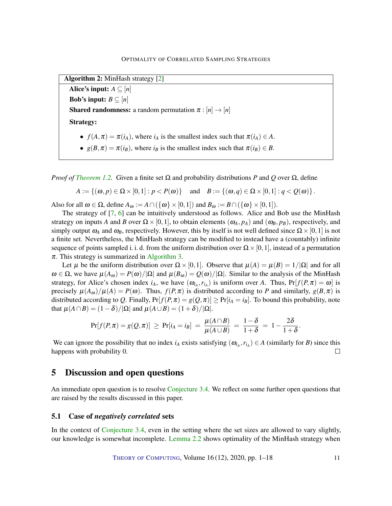<span id="page-10-2"></span>Algorithm 2: MinHash strategy [\[2\]](#page-13-0)

Alice's input:  $A \subseteq [n]$ Bob's input:  $B \subseteq [n]$ **Shared randomness:** a random permutation  $\pi : [n] \rightarrow [n]$ Strategy:

- $f(A, \pi) = \pi(i_A)$ , where  $i_A$  is the smallest index such that  $\pi(i_A) \in A$ .
- <span id="page-10-1"></span>•  $g(B, \pi) = \pi(i, B)$ , where  $i, B$  is the smallest index such that  $\pi(i, B) \in B$ .

*Proof of [Theorem 1.2.](#page-2-0)* Given a finite set  $\Omega$  and probability distributions *P* and *Q* over  $\Omega$ , define

$$
A := \{(\omega, p) \in \Omega \times [0,1] : p < P(\omega)\} \quad \text{and} \quad B := \{(\omega, q) \in \Omega \times [0,1] : q < Q(\omega)\}.
$$

Also for all  $\omega \in \Omega$ , define  $A_{\omega} := A \cap (\{\omega\} \times [0,1])$  and  $B_{\omega} := B \cap (\{\omega\} \times [0,1])$ .

The strategy of [\[7,](#page-13-1) [6\]](#page-13-3) can be intuitively understood as follows. Alice and Bob use the MinHash strategy on inputs *A* and *B* over  $\Omega \times [0,1]$ , to obtain elements  $(\omega_A, p_A)$  and  $(\omega_B, p_B)$ , respectively, and simply output  $\omega_A$  and  $\omega_B$ , respectively. However, this by itself is not well defined since  $\Omega \times [0,1]$  is not a finite set. Nevertheless, the MinHash strategy can be modified to instead have a (countably) infinite sequence of points sampled i. i. d. from the uniform distribution over  $\Omega \times [0,1]$ , instead of a permutation  $\pi$ . This strategy is summarized in [Algorithm 3.](#page-11-0)

Let  $\mu$  be the uniform distribution over  $\Omega \times [0,1]$ . Observe that  $\mu(A) = \mu(B) = 1/|\Omega|$  and for all  $ω ∈ Ω$ , we have  $μ(Aω) = P(ω)/|Ω|$  and  $μ(Bω) = Q(ω)/|Ω|$ . Similar to the analysis of the MinHash strategy, for Alice's chosen index  $i_A$ , we have  $(\omega_{i_A}, r_{i_A})$  is uniform over *A*. Thus,  $Pr[f(P, \pi) = \omega]$  is precisely  $\mu(A_{\omega})/\mu(A) = P(\omega)$ . Thus,  $f(P,\pi)$  is distributed according to P and similarly,  $g(B,\pi)$  is distributed according to *Q*. Finally,  $Pr[f(P, \pi) = g(Q, \pi)] \geq Pr[i_A = i_B]$ . To bound this probability, note that  $\mu(A \cap B) = (1 - \delta)/|\Omega|$  and  $\mu(A \cup B) = (1 + \delta)/|\Omega|$ .

$$
Pr[f(P,\pi)=g(Q,\pi)] \geq Pr[i_A=i_B] = \frac{\mu(A \cap B)}{\mu(A \cup B)} = \frac{1-\delta}{1+\delta} = 1 - \frac{2\delta}{1+\delta}.
$$

We can ignore the possibility that no index  $i_A$  exists satisfying  $(\omega_{i_A}, r_{i_A}) \in A$  (similarly for *B*) since this happens with probability 0.  $\Box$ 

## <span id="page-10-0"></span>5 Discussion and open questions

An immediate open question is to resolve [Conjecture](#page-7-3) [3.4.](#page-7-3) We reflect on some further open questions that are raised by the results discussed in this paper.

#### 5.1 Case of *negatively correlated* sets

In the context of [Conjecture](#page-7-3) [3.4,](#page-7-3) even in the setting where the set sizes are allowed to vary slightly, our knowledge is somewhat incomplete. [Lemma](#page-3-1) [2.2](#page-3-1) shows optimality of the MinHash strategy when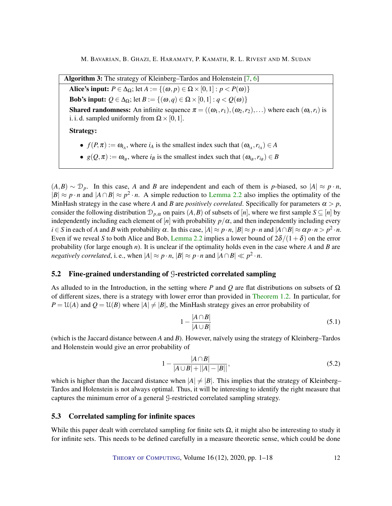<span id="page-11-1"></span>Algorithm 3: The strategy of Kleinberg–Tardos and Holenstein [\[7,](#page-13-1) [6\]](#page-13-3) Alice's input:  $P \in \Delta_{\Omega}$ ; let  $A := \{(\omega, p) \in \Omega \times [0,1] : p < P(\omega)\}\$ **Bob's input:**  $Q \in \Delta_0$ ; let  $B := \{(\omega, q) \in \Omega \times [0,1] : q < Q(\omega)\}\$ **Shared randomness:** An infinite sequence  $\pi = ((\omega_1, r_1), (\omega_2, r_2),...)$  where each  $(\omega_i, r_i)$  is i. i. d. sampled uniformly from  $\Omega \times [0,1]$ . Strategy: •  $f(P, \pi) := \omega_{i_A}$ , where  $i_A$  is the smallest index such that  $(\omega_{i_A}, r_{i_A}) \in A$ •  $g(Q, \pi) := \omega_{i_B}$ , where  $i_B$  is the smallest index such that  $(\omega_{i_B}, r_{i_B}) \in B$ 

<span id="page-11-0"></span> $(A,B) \sim \mathcal{D}_p$ . In this case, *A* and *B* are independent and each of them is *p*-biased, so  $|A| \approx p \cdot n$ ,  $|B| \approx p \cdot n$  and  $|A \cap B| \approx p^2 \cdot n$ . A simple reduction to [Lemma](#page-3-1) [2.2](#page-3-1) also implies the optimality of the MinHash strategy in the case where *A* and *B* are *positively correlated*. Specifically for parameters  $\alpha > p$ , consider the following distribution  $\mathcal{D}_{p,\alpha}$  on pairs  $(A, B)$  of subsets of  $[n]$ , where we first sample  $S \subseteq [n]$  by independently including each element of  $[n]$  with probability  $p/\alpha$ , and then independently including every  $i \in S$  in each of *A* and *B* with probability  $\alpha$ . In this case,  $|A| \approx p \cdot n$ ,  $|B| \approx p \cdot n$  and  $|A \cap B| \approx \alpha p \cdot n > p^2 \cdot n$ . Even if we reveal *S* to both Alice and Bob, [Lemma](#page-3-1) [2.2](#page-3-1) implies a lower bound of  $2\delta/(1+\delta)$  on the error probability (for large enough *n*). It is unclear if the optimality holds even in the case where *A* and *B* are *negatively correlated*, i. e., when  $|A| \approx p \cdot n$ ,  $|B| \approx p \cdot n$  and  $|A \cap B| \ll p^2 \cdot n$ .

## 5.2 Fine-grained understanding of G-restricted correlated sampling

As alluded to in the Introduction, in the setting where *P* and *Q* are flat distributions on subsets of Ω of different sizes, there is a strategy with lower error than provided in [Theorem 1.2.](#page-2-0) In particular, for  $P = \mathcal{U}(A)$  and  $Q = \mathcal{U}(B)$  where  $|A| \neq |B|$ , the MinHash strategy gives an error probability of

$$
1 - \frac{|A \cap B|}{|A \cup B|} \tag{5.1}
$$

(which is the Jaccard distance between *A* and *B*). However, naïvely using the strategy of Kleinberg–Tardos and Holenstein would give an error probability of

$$
1 - \frac{|A \cap B|}{|A \cup B| + ||A| - |B||},\tag{5.2}
$$

which is higher than the Jaccard distance when  $|A| \neq |B|$ . This implies that the strategy of Kleinberg– Tardos and Holenstein is not always optimal. Thus, it will be interesting to identify the right measure that captures the minimum error of a general G-restricted correlated sampling strategy.

## 5.3 Correlated sampling for infinite spaces

While this paper dealt with correlated sampling for finite sets  $\Omega$ , it might also be interesting to study it for infinite sets. This needs to be defined carefully in a measure theoretic sense, which could be done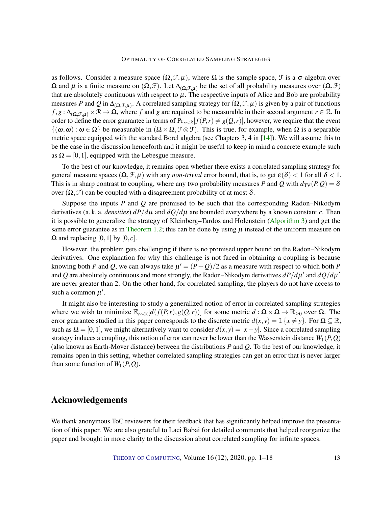<span id="page-12-0"></span>as follows. Consider a measure space  $(\Omega, \mathcal{F}, \mu)$ , where  $\Omega$  is the sample space,  $\mathcal{F}$  is a  $\sigma$ -algebra over  $\Omega$  and  $\mu$  is a finite measure on  $(\Omega, \mathcal{F})$ . Let  $\Delta_{(\Omega, \mathcal{F}, \mu)}$  be the set of all probability measures over  $(\Omega, \mathcal{F})$ that are absolutely continuous with respect to  $\mu$ . The respective inputs of Alice and Bob are probability measures *P* and *Q* in  $\Delta_{(\Omega,\mathcal{F},\mu)}$ . A correlated sampling strategy for  $(\Omega,\mathcal{F},\mu)$  is given by a pair of functions  $f, g: \Delta_{(\Omega, \mathcal{F}, \mu)} \times \mathbb{R} \to \Omega$ , where *f* and *g* are required to be measurable in their second argument  $r \in \mathbb{R}$ . In order to define the error guarantee in terms of  $Pr_{r\sim\mathcal{R}}[f(P,r) \neq g(Q,r)]$ , however, we require that the event  $\{(\omega,\omega): \omega \in \Omega\}$  be measurable in  $(\Omega \times \Omega, \mathcal{F} \otimes \mathcal{F})$ . This is true, for example, when  $\Omega$  is a separable metric space equipped with the standard Borel algebra (see Chapters 3, 4 in [\[14\]](#page-13-7)). We will assume this to be the case in the discussion henceforth and it might be useful to keep in mind a concrete example such as  $\Omega = [0, 1]$ , equipped with the Lebesgue measure.

To the best of our knowledge, it remains open whether there exists a correlated sampling strategy for general measure spaces  $(\Omega, \mathcal{F}, \mu)$  with any *non-trivial* error bound, that is, to get  $\varepsilon(\delta) < 1$  for all  $\delta < 1$ . This is in sharp contrast to coupling, where any two probability measures *P* and *Q* with  $d_{TV}(P,Q) = \delta$ over  $(Ω, θ)$  can be coupled with a disagreement probability of at most δ.

Suppose the inputs *P* and *Q* are promised to be such that the corresponding Radon–Nikodym derivatives (a. k. a. *densities*)  $dP/d\mu$  and  $dQ/d\mu$  are bounded everywhere by a known constant *c*. Then it is possible to generalize the strategy of Kleinberg–Tardos and Holenstein [\(Algorithm 3\)](#page-11-0) and get the same error guarantee as in [Theorem 1.2;](#page-2-0) this can be done by using  $\mu$  instead of the uniform measure on  $\Omega$  and replacing [0, 1] by [0, *c*].

However, the problem gets challenging if there is no promised upper bound on the Radon–Nikodym derivatives. One explanation for why this challenge is not faced in obtaining a coupling is because knowing both *P* and *Q*, we can always take  $\mu' = (P+Q)/2$  as a measure with respect to which both *P* and *Q* are absolutely continuous and more strongly, the Radon–Nikodym derivatives  $dP/d\mu'$  and  $dQ/d\mu'$ are never greater than 2. On the other hand, for correlated sampling, the players do not have access to such a common  $\mu'$ .

It might also be interesting to study a generalized notion of error in correlated sampling strategies where we wish to minimize  $\mathbb{E}_{r\sim \mathbb{R}}[d(f(P,r), g(Q,r))]$  for some metric *d* : Ω × Ω →  $\mathbb{R}_{\geq 0}$  over Ω. The error guarantee studied in this paper corresponds to the discrete metric  $d(x, y) = \mathbb{1}\{x \neq y\}$ . For  $\Omega \subseteq \mathbb{R}$ , such as  $\Omega = [0,1]$ , we might alternatively want to consider  $d(x, y) = |x - y|$ . Since a correlated sampling strategy induces a coupling, this notion of error can never be lower than the Wasserstein distance  $W_1(P, Q)$ (also known as Earth-Mover distance) between the distributions *P* and *Q*. To the best of our knowledge, it remains open in this setting, whether correlated sampling strategies can get an error that is never larger than some function of  $W_1(P,Q)$ .

# Acknowledgements

We thank anonymous ToC reviewers for their feedback that has significantly helped improve the presentation of this paper. We are also grateful to Laci Babai for detailed comments that helped reorganize the paper and brought in more clarity to the discussion about correlated sampling for infinite spaces.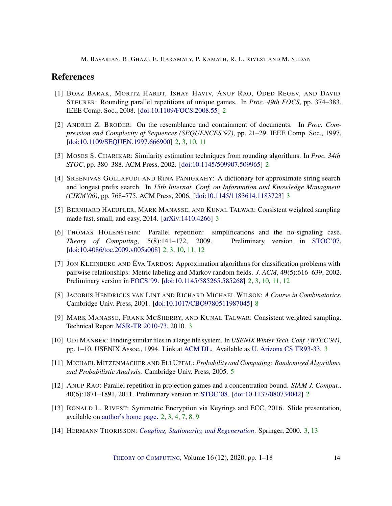# References

- <span id="page-13-5"></span>[1] BOAZ BARAK, MORITZ HARDT, ISHAY HAVIV, ANUP RAO, ODED REGEV, AND DAVID STEURER: Rounding parallel repetitions of unique games. In *Proc. 49th FOCS*, pp. 374–383. IEEE Comp. Soc., 2008. [\[doi:10.1109/FOCS.2008.55\]](http://dx.doi.org/10.1109/FOCS.2008.55) [2](#page-1-1)
- <span id="page-13-0"></span>[2] ANDREI Z. BRODER: On the resemblance and containment of documents. In *Proc. Compression and Complexity of Sequences (SEQUENCES'97)*, pp. 21–29. IEEE Comp. Soc., 1997. [\[doi:10.1109/SEQUEN.1997.666900\]](http://dx.doi.org/10.1109/SEQUEN.1997.666900) [2,](#page-1-1) [3,](#page-2-2) [10,](#page-9-1) [11](#page-10-2)
- <span id="page-13-2"></span>[3] MOSES S. CHARIKAR: Similarity estimation techniques from rounding algorithms. In *Proc. 34th STOC*, pp. 380–388. ACM Press, 2002. [\[doi:10.1145/509907.509965\]](http://dx.doi.org/10.1145/509907.509965) [2](#page-1-1)
- <span id="page-13-9"></span>[4] SREENIVAS GOLLAPUDI AND RINA PANIGRAHY: A dictionary for approximate string search and longest prefix search. In *15th Internat. Conf. on Information and Knowledge Managment (CIKM'06)*, pp. 768–775. ACM Press, 2006. [\[doi:10.1145/1183614.1183723\]](http://dx.doi.org/10.1145/1183614.1183723) [3](#page-2-2)
- <span id="page-13-11"></span>[5] BERNHARD HAEUPLER, MARK MANASSE, AND KUNAL TALWAR: Consistent weighted sampling made fast, small, and easy, 2014. [\[arXiv:1410.4266\]](http://arxiv.org/abs/1410.4266) [3](#page-2-2)
- <span id="page-13-3"></span>[6] THOMAS HOLENSTEIN: Parallel repetition: simplifications and the no-signaling case. *Theory of Computing*, 5(8):141–172, 2009. Preliminary version in [STOC'07.](http://doi.org/10.1145/1250790.1250852) [\[doi:10.4086/toc.2009.v005a008\]](http://dx.doi.org/10.4086/toc.2009.v005a008) [2,](#page-1-1) [3,](#page-2-2) [10,](#page-9-1) [11,](#page-10-2) [12](#page-11-1)
- <span id="page-13-1"></span>[7] JON KLEINBERG AND ÉVA TARDOS: Approximation algorithms for classification problems with pairwise relationships: Metric labeling and Markov random fields. *J. ACM*, 49(5):616–639, 2002. Preliminary version in [FOCS'99.](http://doi.org/10.1109/SFFCS.1999.814572) [\[doi:10.1145/585265.585268\]](http://dx.doi.org/10.1145/585265.585268) [2,](#page-1-1) [3,](#page-2-2) [10,](#page-9-1) [11,](#page-10-2) [12](#page-11-1)
- <span id="page-13-13"></span>[8] JACOBUS HENDRICUS VAN LINT AND RICHARD MICHAEL WILSON: *A Course in Combinatorics*. Cambridge Univ. Press, 2001. [\[doi:10.1017/CBO9780511987045\]](http://dx.doi.org/10.1017/CBO9780511987045) [8](#page-7-4)
- <span id="page-13-10"></span>[9] MARK MANASSE, FRANK MCSHERRY, AND KUNAL TALWAR: Consistent weighted sampling. Technical Report [MSR-TR 2010-73,](https://www.microsoft.com/en-us/research/publication/consistent-weighted-sampling/) 2010. [3](#page-2-2)
- <span id="page-13-8"></span>[10] UDI MANBER: Finding similar files in a large file system. In *USENIX Winter Tech. Conf. (WTEC'94)*, pp. 1–10. USENIX Assoc., 1994. Link at [ACM DL.](https://dl.acm.org/doi/10.5555/1267074.1267076) Available as [U. Arizona CS TR93-33.](https://www.cs.arizona.edu/research/technical-reports-1970-1999) [3](#page-2-2)
- <span id="page-13-12"></span>[11] MICHAEL MITZENMACHER AND ELI UPFAL: *Probability and Computing: Randomized Algorithms and Probabilistic Analysis*. Cambridge Univ. Press, 2005. [5](#page-4-3)
- <span id="page-13-4"></span>[12] ANUP RAO: Parallel repetition in projection games and a concentration bound. *SIAM J. Comput.*, 40(6):1871–1891, 2011. Preliminary version in [STOC'08.](http://doi.org/10.1145/1374376.1374378) [\[doi:10.1137/080734042\]](http://dx.doi.org/10.1137/080734042) [2](#page-1-1)
- <span id="page-13-6"></span>[13] RONALD L. RIVEST: Symmetric Encryption via Keyrings and ECC, 2016. Slide presentation, available on [author's home page.](https://people.csail.mit.edu/rivest/pubs/Riv16u.pdf) [2,](#page-1-1) [3,](#page-2-2) [4,](#page-3-2) [7,](#page-6-2) [8,](#page-7-4) [9](#page-8-3)
- <span id="page-13-7"></span>[14] HERMANN THORISSON: *[Coupling, Stationarity, and Regeneration](https://notendur.hi.is/hermann/iid/csr/)*. Springer, 2000. [3,](#page-2-2) [13](#page-12-0)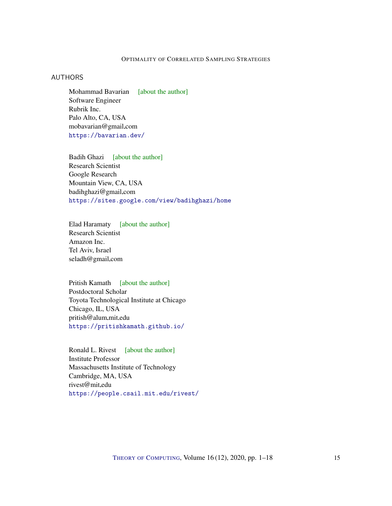## <span id="page-14-0"></span>AUTHORS

Mohammad Bavarian [\[about the author\]](#page-15-1) Software Engineer Rubrik Inc. Palo Alto, CA, USA mobavarian@gmail.com <https://bavarian.dev/>

<span id="page-14-1"></span>Badih Ghazi [\[about the author\]](#page-15-2) Research Scientist Google Research Mountain View, CA, USA badihghazi@gmail.com <https://sites.google.com/view/badihghazi/home>

<span id="page-14-2"></span>Elad Haramaty [\[about the author\]](#page-15-3) Research Scientist Amazon Inc. Tel Aviv, Israel seladh@gmail.com

<span id="page-14-3"></span>Pritish Kamath [\[about the author\]](#page-16-0) Postdoctoral Scholar Toyota Technological Institute at Chicago Chicago, IL, USA pritish@alum.mit.edu <https://pritishkamath.github.io/>

<span id="page-14-4"></span>Ronald L. Rivest [\[about the author\]](#page-16-1) Institute Professor Massachusetts Institute of Technology Cambridge, MA, USA rivest@mit.edu <https://people.csail.mit.edu/rivest/>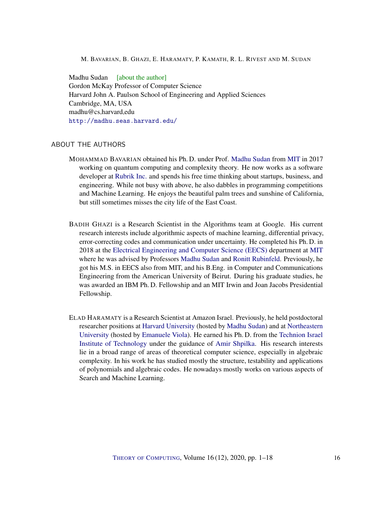<span id="page-15-0"></span>Madhu Sudan [\[about the author\]](#page-17-0) Gordon McKay Professor of Computer Science Harvard John A. Paulson School of Engineering and Applied Sciences Cambridge, MA, USA madhu@cs.harvard.edu <http://madhu.seas.harvard.edu/>

## <span id="page-15-1"></span>ABOUT THE AUTHORS

- MOHAMMAD BAVARIAN obtained his Ph. D. under Prof. [Madhu Sudan](http://madhu.seas.harvard.edu/) from [MIT](www.mit.edu) in 2017 working on quantum computing and complexity theory. He now works as a software developer at [Rubrik Inc.](https://www.rubrik.com/en) and spends his free time thinking about startups, business, and engineering. While not busy with above, he also dabbles in programming competitions and Machine Learning. He enjoys the beautiful palm trees and sunshine of California, but still sometimes misses the city life of the East Coast.
- <span id="page-15-2"></span>BADIH GHAZI is a Research Scientist in the Algorithms team at Google. His current research interests include algorithmic aspects of machine learning, differential privacy, error-correcting codes and communication under uncertainty. He completed his Ph. D. in 2018 at the [Electrical Engineering and Computer Science \(EECS\)](http://www-eecs.mit.edu/) department at [MIT](www.mit.edu) where he was advised by Professors [Madhu Sudan](http://madhu.seas.harvard.edu/) and [Ronitt Rubinfeld.](http://people.csail.mit.edu/ronitt/) Previously, he got his M.S. in EECS also from MIT, and his B.Eng. in Computer and Communications Engineering from the American University of Beirut. During his graduate studies, he was awarded an IBM Ph. D. Fellowship and an MIT Irwin and Joan Jacobs Presidential Fellowship.
- <span id="page-15-3"></span>ELAD HARAMATY is a Research Scientist at Amazon Israel. Previously, he held postdoctoral researcher positions at [Harvard University](https://www.harvard.edu/) (hosted by [Madhu Sudan\)](http://madhu.seas.harvard.edu/) and at [Northeastern](https://www.northeastern.edu/) [University](https://www.northeastern.edu/) (hosted by [Emanuele Viola\)](http://www.ccs.neu.edu/home/viola/). He earned his Ph. D. from the [Technion Israel](https://www.technion.ac.il/en/home-2/) [Institute of Technology](https://www.technion.ac.il/en/home-2/) under the guidance of [Amir Shpilka.](https://www.cs.tau.ac.il/~shpilka/) His research interests lie in a broad range of areas of theoretical computer science, especially in algebraic complexity. In his work he has studied mostly the structure, testability and applications of polynomials and algebraic codes. He nowadays mostly works on various aspects of Search and Machine Learning.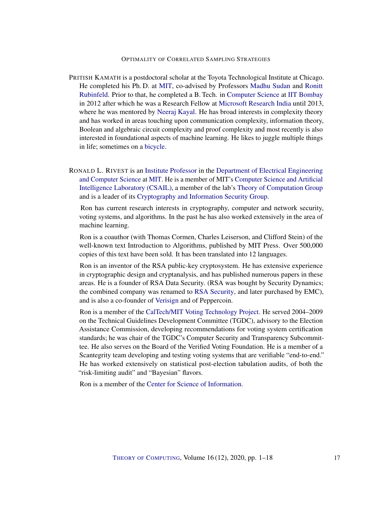- <span id="page-16-0"></span>PRITISH KAMATH is a postdoctoral scholar at the Toyota Technological Institute at Chicago. He completed his Ph. D. at [MIT,](www.mit.edu) co-advised by Professors [Madhu Sudan](http://madhu.seas.harvard.edu/) and [Ronitt](http://people.csail.mit.edu/ronitt/) [Rubinfeld.](http://people.csail.mit.edu/ronitt/) Prior to that, he completed a B. Tech. in [Computer Science](https://www.cse.iitb.ac.in/) at [IIT Bombay](http://www.iitb.ac.in/) in 2012 after which he was a Research Fellow at [Microsoft Research India](https://www.microsoft.com/en-us/research/lab/microsoft-research-india/) until 2013, where he was mentored by [Neeraj Kayal.](https://www.microsoft.com/en-us/research/people/neeraka/) He has broad interests in complexity theory and has worked in areas touching upon communication complexity, information theory, Boolean and algebraic circuit complexity and proof complexity and most recently is also interested in foundational aspects of machine learning. He likes to juggle multiple things in life; sometimes on a [bicycle.](https://youtu.be/iXgAfveUTMk)
- <span id="page-16-1"></span>RONALD L. RIVEST is an [Institute Professor](https://en.wikipedia.org/wiki/List_of_Institute_Professors_at_the_Massachusetts_Institute_of_Technology) in the [Department of Electrical Engineering](http://www-eecs.mit.edu/) [and Computer Science](http://www-eecs.mit.edu/) at [MIT.](http://web.mit.edu/) He is a member of MIT's [Computer Science and Artificial](http://www.csail.mit.edu/) [Intelligence Laboratory \(CSAIL\),](http://www.csail.mit.edu/) a member of the lab's [Theory of Computation Group](http://groups.csail.mit.edu/toc/) and is a leader of its [Cryptography and Information Security Group.](http://groups.csail.mit.edu/cis)

Ron has current research interests in cryptography, computer and network security, voting systems, and algorithms. In the past he has also worked extensively in the area of machine learning.

Ron is a coauthor (with Thomas Cormen, Charles Leiserson, and Clifford Stein) of the well-known text Introduction to Algorithms, published by MIT Press. Over 500,000 copies of this text have been sold. It has been translated into 12 languages.

Ron is an inventor of the RSA public-key cryptosystem. He has extensive experience in cryptographic design and cryptanalysis, and has published numerous papers in these areas. He is a founder of RSA Data Security. (RSA was bought by Security Dynamics; the combined company was renamed to [RSA Security,](http://www.rsasecurity.com/) and later purchased by EMC), and is also a co-founder of [Verisign](http://www.verisign.com/) and of Peppercoin.

Ron is a member of the [CalTech/MIT Voting Technology Project.](http://vote.caltech.edu/drupal/) He served 2004–2009 on the Technical Guidelines Development Committee (TGDC), advisory to the Election Assistance Commission, developing recommendations for voting system certification standards; he was chair of the TGDC's Computer Security and Transparency Subcommittee. He also serves on the Board of the Verified Voting Foundation. He is a member of a Scantegrity team developing and testing voting systems that are verifiable "end-to-end." He has worked extensively on statistical post-election tabulation audits, of both the "risk-limiting audit" and "Bayesian" flavors.

Ron is a member of the [Center for Science of Information.](http://soihub.org/)